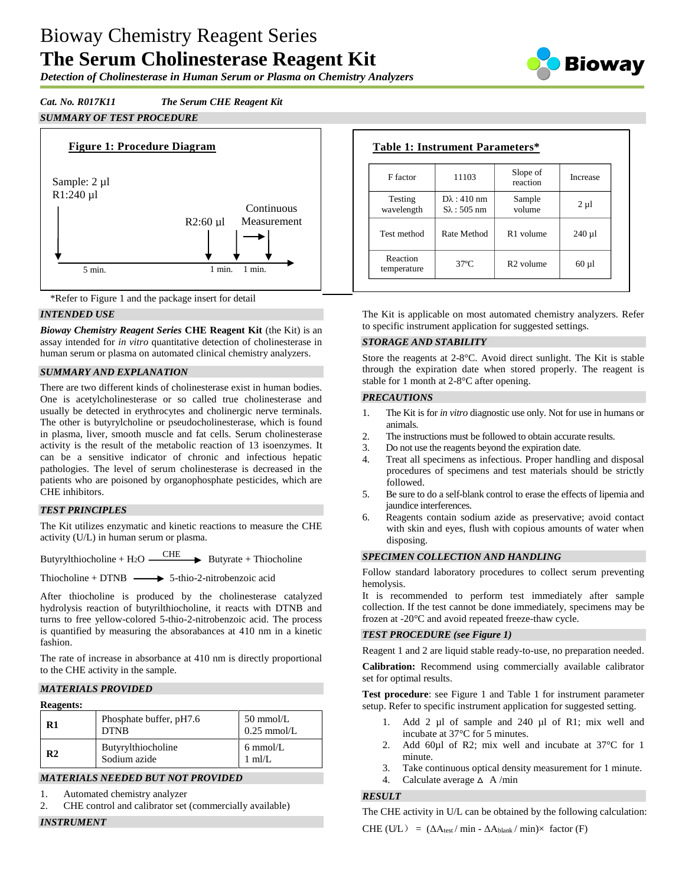# Bioway Chemistry Reagent Series **The Serum Cholinesterase Reagent Kit**

*Detection of Cholinesterase in Human Serum or Plasma on Chemistry Analyzers*

# *Cat. No. R017K11 The Serum CHE Reagent Kit SUMMARY OF TEST PROCEDURE*





#### *INTENDED USE*

*Bioway Chemistry Reagent Series* **CHE Reagent Kit** (the Kit) is an assay intended for *in vitro* quantitative detection of cholinesterase in human serum or plasma on automated clinical chemistry analyzers.

#### *SUMMARY AND EXPLANATION*

There are two different kinds of cholinesterase exist in human bodies. One is acetylcholinesterase or so called true cholinesterase and usually be detected in erythrocytes and cholinergic nerve terminals. The other is butyrylcholine or pseudocholinesterase, which is found in plasma, liver, smooth muscle and fat cells. Serum cholinesterase activity is the result of the metabolic reaction of 13 isoenzymes. It can be a sensitive indicator of chronic and infectious hepatic pathologies. The level of serum cholinesterase is decreased in the patients who are poisoned by organophosphate pesticides, which are CHE inhibitors.

#### *TEST PRINCIPLES*

The Kit utilizes enzymatic and kinetic reactions to measure the CHE activity (U/L) in human serum or plasma.

Butyrylthiocholine + H<sub>2</sub>O  $\longrightarrow$  Butyrate + Thiocholine

Thiocholine + DTNB  $\longrightarrow$  5-thio-2-nitrobenzoic acid

After thiocholine is produced by the cholinesterase catalyzed hydrolysis reaction of butyrilthiocholine, it reacts with DTNB and turns to free yellow-colored 5-thio-2-nitrobenzoic acid. The process is quantified by measuring the absorabances at 410 nm in a kinetic fashion.

The rate of increase in absorbance at 410 nm is directly proportional to the CHE activity in the sample.

#### *MATERIALS PROVIDED*

#### **Reagents:**

| R1             | Phosphate buffer, pH7.6<br><b>DTNB</b> | $50 \text{ mmol/L}$<br>$0.25$ mmol/L     |
|----------------|----------------------------------------|------------------------------------------|
| R <sub>2</sub> | Butyrylthiocholine<br>Sodium azide     | $6 \text{ mmol/L}$<br>$1 \text{ ml/L}$ . |

# *MATERIALS NEEDED BUT NOT PROVIDED*

- 1. Automated chemistry analyzer
- 2. CHE control and calibrator set (commercially available)

*INSTRUMENT*

# **Table 1: Instrument Parameters\***

| F factor                | 11103                                         | Slope of<br>reaction  | Increase   |
|-------------------------|-----------------------------------------------|-----------------------|------------|
| Testing<br>wavelength   | $D\lambda$ : 410 nm<br>$S_{\lambda}$ : 505 nm | Sample<br>volume      | $2 \mu l$  |
| Test method             | Rate Method                                   | R <sub>1</sub> volume | $240 \mu$  |
| Reaction<br>temperature | $37^{\circ}$ C                                | R <sub>2</sub> volume | $60 \mu l$ |

The Kit is applicable on most automated chemistry analyzers. Refer to specific instrument application for suggested settings.

#### *STORAGE AND STABILITY*

Store the reagents at 2-8°C. Avoid direct sunlight. The Kit is stable through the expiration date when stored properly. The reagent is stable for 1 month at 2-8°C after opening.

#### *PRECAUTIONS*

- 1. The Kit is for *in vitro* diagnostic use only. Not for use in humans or animals.
- 2. The instructions must be followed to obtain accurate results.
- 3. Do not use the reagents beyond the expiration date.
- 4. Treat all specimens as infectious. Proper handling and disposal procedures of specimens and test materials should be strictly followed.
- 5. Be sure to do a self-blank control to erase the effects of lipemia and jaundice interferences.
- 6. Reagents contain sodium azide as preservative; avoid contact with skin and eyes, flush with copious amounts of water when disposing.

#### *SPECIMEN COLLECTION AND HANDLING*

Follow standard laboratory procedures to collect serum preventing hemolysis.

It is recommended to perform test immediately after sample collection. If the test cannot be done immediately, specimens may be frozen at -20°C and avoid repeated freeze-thaw cycle.

#### *TEST PROCEDURE (see Figure 1)*

Reagent 1 and 2 are liquid stable ready-to-use, no preparation needed.

**Calibration:** Recommend using commercially available calibrator set for optimal results.

**Test procedure**: see Figure 1 and Table 1 for instrument parameter setup. Refer to specific instrument application for suggested setting.

- 1. Add 2 µl of sample and 240 µl of R1; mix well and incubate at 37°C for 5 minutes.
- 2. Add 60ul of R2; mix well and incubate at 37 °C for 1 minute.
- 3. Take continuous optical density measurement for 1 minute.
- 4. Calculate average  $\triangle$  A/min

#### *RESULT*

The CHE activity in U/L can be obtained by the following calculation:

CHE (U/L) =  $(\Delta A_{\text{test}} / \min - \Delta A_{\text{blank}} / \min) \times$  factor (F)